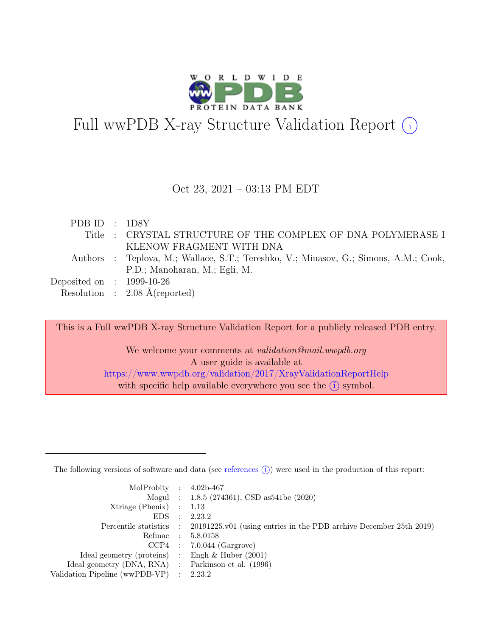

# Full wwPDB X-ray Structure Validation Report  $\bigcirc$

#### Oct 23, 2021 – 03:13 PM EDT

| PDBID : 1DSY                |                                                                                      |
|-----------------------------|--------------------------------------------------------------------------------------|
|                             | Title : CRYSTAL STRUCTURE OF THE COMPLEX OF DNA POLYMERASE I                         |
|                             | KLENOW FRAGMENT WITH DNA                                                             |
|                             | Authors : Teplova, M.; Wallace, S.T.; Tereshko, V.; Minasov, G.; Simons, A.M.; Cook, |
|                             | P.D.; Manoharan, M.; Egli, M.                                                        |
| Deposited on : $1999-10-26$ |                                                                                      |
|                             | Resolution : $2.08 \text{ Å}$ (reported)                                             |
|                             |                                                                                      |

This is a Full wwPDB X-ray Structure Validation Report for a publicly released PDB entry.

We welcome your comments at validation@mail.wwpdb.org A user guide is available at <https://www.wwpdb.org/validation/2017/XrayValidationReportHelp> with specific help available everywhere you see the  $(i)$  symbol.

The following versions of software and data (see [references](https://www.wwpdb.org/validation/2017/XrayValidationReportHelp#references)  $(i)$ ) were used in the production of this report:

| MolProbity : $4.02b-467$                            |                |                                                                                            |
|-----------------------------------------------------|----------------|--------------------------------------------------------------------------------------------|
|                                                     |                | Mogul : 1.8.5 (274361), CSD as 541be (2020)                                                |
| Xtriage (Phenix) $: 1.13$                           |                |                                                                                            |
| EDS                                                 | $\mathbb{R}^2$ | 2.23.2                                                                                     |
|                                                     |                | Percentile statistics : 20191225.v01 (using entries in the PDB archive December 25th 2019) |
|                                                     |                | Refmac : 5.8.0158                                                                          |
|                                                     |                | $CCP4$ : 7.0.044 (Gargrove)                                                                |
| Ideal geometry (proteins) : Engh $\&$ Huber (2001)  |                |                                                                                            |
| Ideal geometry (DNA, RNA) : Parkinson et al. (1996) |                |                                                                                            |
| Validation Pipeline (wwPDB-VP)                      |                | : 2.23.2                                                                                   |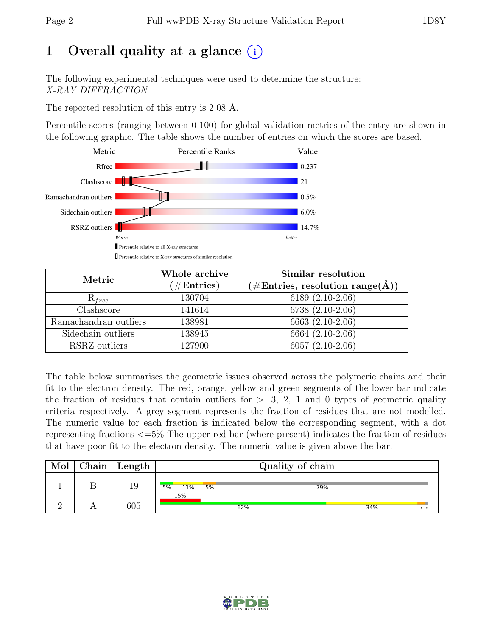# 1 Overall quality at a glance  $(i)$

The following experimental techniques were used to determine the structure: X-RAY DIFFRACTION

The reported resolution of this entry is 2.08 Å.

Percentile scores (ranging between 0-100) for global validation metrics of the entry are shown in the following graphic. The table shows the number of entries on which the scores are based.



| Metric                | Whole archive<br>$(\#Entries)$ | Similar resolution<br>$(\# \text{Entries}, \text{ resolution } \text{range}(\AA))$ |
|-----------------------|--------------------------------|------------------------------------------------------------------------------------|
| $R_{free}$            | 130704                         | 6189 (2.10-2.06)                                                                   |
| Clashscore            | 141614                         | 6738 (2.10-2.06)                                                                   |
| Ramachandran outliers | 138981                         | 6663 (2.10-2.06)                                                                   |
| Sidechain outliers    | 138945                         | $6664(2.10-2.06)$                                                                  |
| RSRZ outliers         | 127900                         | $6057(2.10-2.06)$                                                                  |

The table below summarises the geometric issues observed across the polymeric chains and their fit to the electron density. The red, orange, yellow and green segments of the lower bar indicate the fraction of residues that contain outliers for  $\geq$ =3, 2, 1 and 0 types of geometric quality criteria respectively. A grey segment represents the fraction of residues that are not modelled. The numeric value for each fraction is indicated below the corresponding segment, with a dot representing fractions <=5% The upper red bar (where present) indicates the fraction of residues that have poor fit to the electron density. The numeric value is given above the bar.

| Mol | $Chain$ Length |           | Quality of chain |     |     |                 |  |  |
|-----|----------------|-----------|------------------|-----|-----|-----------------|--|--|
|     | 19             | 5%<br>11% | 5%               | 79% |     |                 |  |  |
|     | 605            | 15%       | 62%              |     | 34% | $\cdot$ $\cdot$ |  |  |

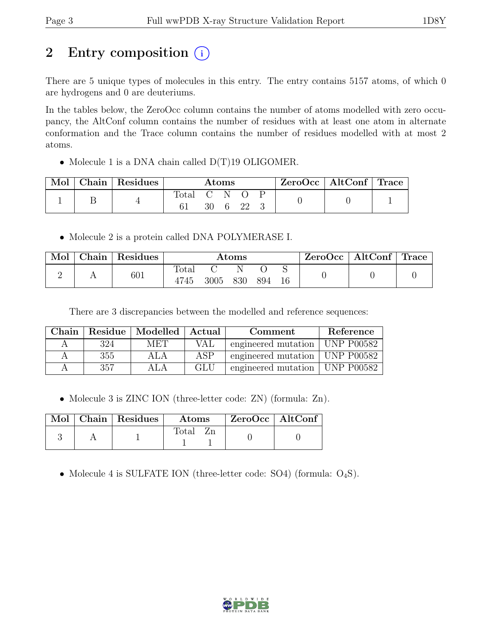# 2 Entry composition (i)

There are 5 unique types of molecules in this entry. The entry contains 5157 atoms, of which 0 are hydrogens and 0 are deuteriums.

In the tables below, the ZeroOcc column contains the number of atoms modelled with zero occupancy, the AltConf column contains the number of residues with at least one atom in alternate conformation and the Trace column contains the number of residues modelled with at most 2 atoms.

• Molecule 1 is a DNA chain called D(T)19 OLIGOMER.

|  | Chain   Residues | Atoms |    |  | ZeroOcc   AltConf   Trace |  |  |  |
|--|------------------|-------|----|--|---------------------------|--|--|--|
|  |                  | fotal | 30 |  | 22                        |  |  |  |

• Molecule 2 is a protein called DNA POLYMERASE I.

| Mol | Chain   Residues | Atoms         |      |     | $\text{ZeroOcc} \mid \text{AltConf} \mid \text{Trace}$ |  |  |  |
|-----|------------------|---------------|------|-----|--------------------------------------------------------|--|--|--|
|     | 601              | Total<br>4745 | 3005 | 830 | 894                                                    |  |  |  |

There are 3 discrepancies between the modelled and reference sequences:

| Chain. |     | Residue   Modelled   Actual |     | Comment                          | Reference      |
|--------|-----|-----------------------------|-----|----------------------------------|----------------|
|        | 324 | <b>MET</b>                  | VAL | engineered mutation              | $ $ UNP P00582 |
|        | 355 | ALA                         | ASP | engineered mutation   UNP P00582 |                |
|        | 357 |                             | GLU | engineered mutation              | $ $ UNP P00582 |

• Molecule 3 is ZINC ION (three-letter code: ZN) (formula: Zn).

|  | Mol   Chain   Residues | $\boldsymbol{\mathrm{Atoms}}$ | $\mid$ ZeroOcc $\mid$ AltConf |  |
|--|------------------------|-------------------------------|-------------------------------|--|
|  |                        | Total                         |                               |  |

• Molecule 4 is SULFATE ION (three-letter code: SO4) (formula:  $O_4S$ ).

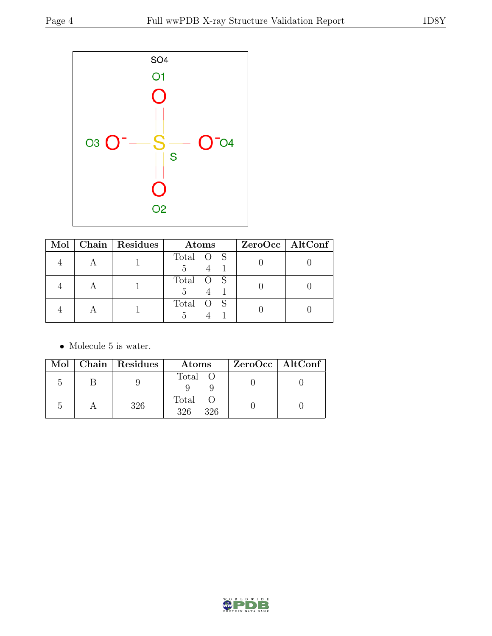

|  | Mol   Chain   Residues | Atoms     | ZeroOcc   AltConf |
|--|------------------------|-----------|-------------------|
|  |                        | Total O S |                   |
|  |                        | Total O S |                   |
|  |                        | Total O S |                   |

 $\bullet\,$  Molecule 5 is water.

|  | Mol   Chain   Residues | Atoms               | $ZeroOcc \   \$ AltConf |
|--|------------------------|---------------------|-------------------------|
|  |                        | Total O             |                         |
|  | 326                    | Total<br>326<br>326 |                         |

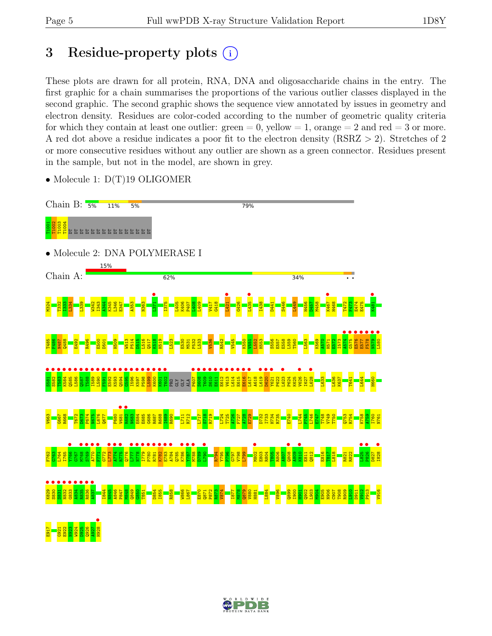# 3 Residue-property plots  $(i)$

These plots are drawn for all protein, RNA, DNA and oligosaccharide chains in the entry. The first graphic for a chain summarises the proportions of the various outlier classes displayed in the second graphic. The second graphic shows the sequence view annotated by issues in geometry and electron density. Residues are color-coded according to the number of geometric quality criteria for which they contain at least one outlier:  $green = 0$ , yellow  $= 1$ , orange  $= 2$  and red  $= 3$  or more. A red dot above a residue indicates a poor fit to the electron density (RSRZ > 2). Stretches of 2 or more consecutive residues without any outlier are shown as a green connector. Residues present in the sample, but not in the model, are shown in grey.

• Molecule 1:  $D(T)19$  OLIGOMER



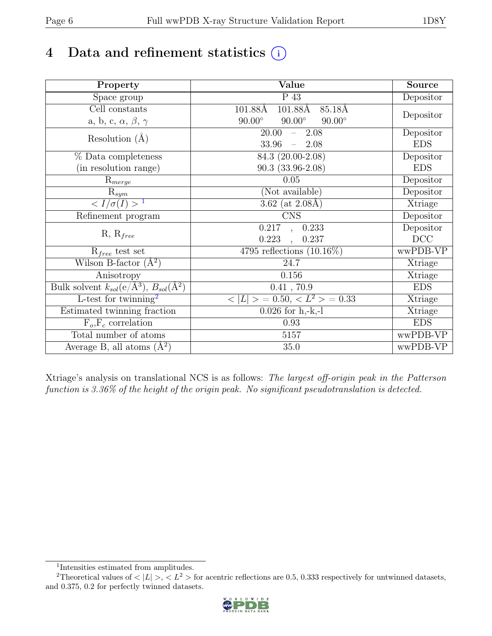# 4 Data and refinement statistics  $(i)$

| Property                                                         | Value                                           | Source     |
|------------------------------------------------------------------|-------------------------------------------------|------------|
| Space group                                                      | P 43                                            | Depositor  |
| $\overline{C}$ ell constants                                     | $101.88\text{\AA}$<br>85.18Å<br>101.88Å         |            |
| a, b, c, $\alpha$ , $\beta$ , $\gamma$                           | $90.00^\circ$<br>$90.00^\circ$<br>$90.00^\circ$ | Depositor  |
| Resolution $(A)$                                                 | 20.00<br>$-2.08$                                | Depositor  |
|                                                                  | 33.96<br>$-2.08$                                | <b>EDS</b> |
| % Data completeness                                              | 84.3 (20.00-2.08)                               | Depositor  |
| (in resolution range)                                            | $90.3(33.96-2.08)$                              | <b>EDS</b> |
| $R_{merge}$                                                      | 0.05                                            | Depositor  |
| $\mathrm{R}_{sym}$                                               | (Not available)                                 | Depositor  |
| $\langle I/\sigma(I) \rangle$ <sup>1</sup>                       | 3.62 (at $2.08\text{\AA}$ )                     | Xtriage    |
| Refinement program                                               | <b>CNS</b>                                      | Depositor  |
|                                                                  | 0.217<br>0.233<br>$\overline{\phantom{a}}$      | Depositor  |
| $R, R_{free}$                                                    | 0.223<br>0.237<br>$\ddot{\phantom{a}}$          | DCC        |
| $R_{free}$ test set                                              | 4795 reflections $(10.16\%)$                    | wwPDB-VP   |
| Wilson B-factor $(A^2)$                                          | 24.7                                            | Xtriage    |
| Anisotropy                                                       | 0.156                                           | Xtriage    |
| Bulk solvent $k_{sol}(\text{e}/\text{A}^3), B_{sol}(\text{A}^2)$ | 0.41, 70.9                                      | <b>EDS</b> |
| L-test for twinning <sup>2</sup>                                 | $< L >$ = 0.50, $< L2$ > = 0.33                 | Xtriage    |
| Estimated twinning fraction                                      | $0.026$ for h,-k,-l                             | Xtriage    |
| $F_o, F_c$ correlation                                           | 0.93                                            | <b>EDS</b> |
| Total number of atoms                                            | 5157                                            | wwPDB-VP   |
| Average B, all atoms $(A^2)$                                     | 35.0                                            | wwPDB-VP   |

Xtriage's analysis on translational NCS is as follows: The largest off-origin peak in the Patterson function is 3.36% of the height of the origin peak. No significant pseudotranslation is detected.

<sup>&</sup>lt;sup>2</sup>Theoretical values of  $\langle |L| \rangle$ ,  $\langle L^2 \rangle$  for acentric reflections are 0.5, 0.333 respectively for untwinned datasets, and 0.375, 0.2 for perfectly twinned datasets.



<span id="page-5-1"></span><span id="page-5-0"></span><sup>1</sup> Intensities estimated from amplitudes.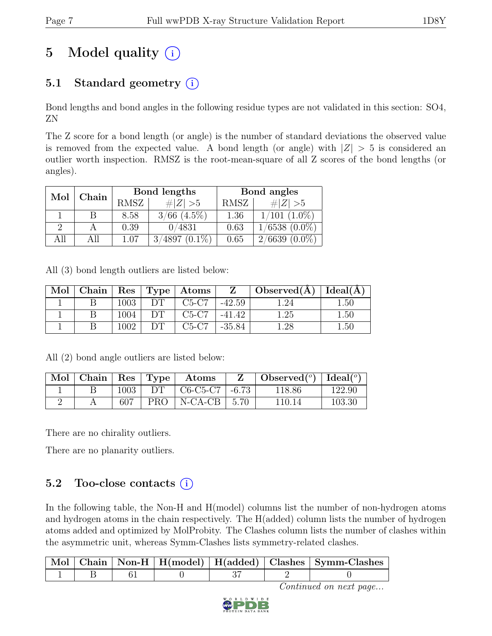# 5 Model quality  $(i)$

# 5.1 Standard geometry  $(i)$

Bond lengths and bond angles in the following residue types are not validated in this section: SO4, ZN

The Z score for a bond length (or angle) is the number of standard deviations the observed value is removed from the expected value. A bond length (or angle) with  $|Z| > 5$  is considered an outlier worth inspection. RMSZ is the root-mean-square of all Z scores of the bond lengths (or angles).

| Mol      | Chain |             | Bond lengths     | Bond angles |                    |  |
|----------|-------|-------------|------------------|-------------|--------------------|--|
|          |       | <b>RMSZ</b> | $\# Z  > 5$      | RMSZ        | # $ Z  > 5$        |  |
|          |       | 8.58        | $3/66$ $(4.5\%)$ | 1.36        | $1/101$ $(1.0\%)$  |  |
| $\Omega$ |       | 0.39        | 0/4831           | 0.63        | $1/6538$ $(0.0\%)$ |  |
| All      |       | 1.07        | $3/4897(0.1\%)$  | 0.65        | $2/6639(0.0\%)$    |  |

All (3) bond length outliers are listed below:

| Mol |      |     | Chain   Res   Type   Atoms | $\mathbf{Z}$ | $\mid$ Observed( $\AA$ ) $\mid$ Ideal( $\AA$ ) |          |
|-----|------|-----|----------------------------|--------------|------------------------------------------------|----------|
|     | 1003 | DT. | $C5-C7$                    | $-42.59$     | l .24                                          | $1.50\,$ |
|     | 1004 |     | $C5-C7$                    | $-41.42$     | 1.25                                           | 1.50     |
|     | 1002 |     | $C5-C7$                    | $-35.84$     | $\mathord{1.28}$                               | $1.50\,$ |

All (2) bond angle outliers are listed below:

| Mol | Chain | $\operatorname{Res}$ | Type | Atoms                                     |         | Observed $(°)$ | $Ideal(^{\circ})$ |
|-----|-------|----------------------|------|-------------------------------------------|---------|----------------|-------------------|
|     |       | 1003                 | DТ   | $C6-C5-C7$                                | $-6.73$ | 118.86         | 122.90            |
|     |       | 607                  | PRO  | $N\text{-}\mathrm{CA}\text{-}\mathrm{CB}$ | 5.70    | 110 14         | 103.30            |

There are no chirality outliers.

There are no planarity outliers.

### 5.2 Too-close contacts  $(i)$

In the following table, the Non-H and H(model) columns list the number of non-hydrogen atoms and hydrogen atoms in the chain respectively. The H(added) column lists the number of hydrogen atoms added and optimized by MolProbity. The Clashes column lists the number of clashes within the asymmetric unit, whereas Symm-Clashes lists symmetry-related clashes.

|  |  |  | Mol   Chain   Non-H   H(model)   H(added)   Clashes   Symm-Clashes |
|--|--|--|--------------------------------------------------------------------|
|  |  |  |                                                                    |

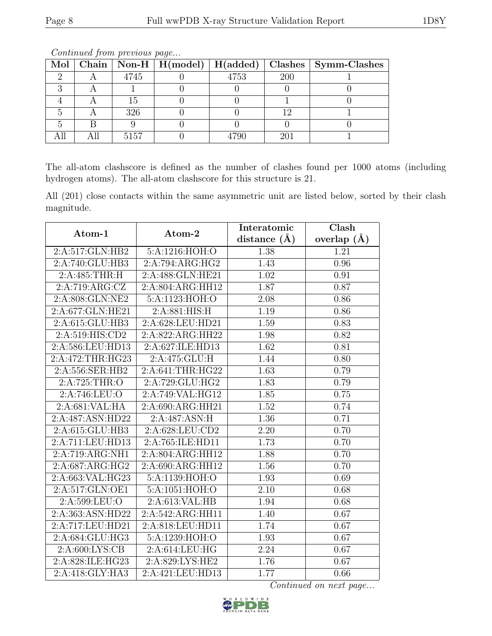|  |      |      |     | Mol   Chain   Non-H   H(model)   H(added)   Clashes   Symm-Clashes |
|--|------|------|-----|--------------------------------------------------------------------|
|  | 4745 | 4753 | 200 |                                                                    |
|  |      |      |     |                                                                    |
|  |      |      |     |                                                                    |
|  | 326  |      |     |                                                                    |
|  |      |      |     |                                                                    |
|  | 5157 |      | 20. |                                                                    |

The all-atom clashscore is defined as the number of clashes found per 1000 atoms (including hydrogen atoms). The all-atom clashscore for this structure is 21.

All (201) close contacts within the same asymmetric unit are listed below, sorted by their clash magnitude.

| Atom-1                                       | Atom-2           | Interatomic       | Clash             |
|----------------------------------------------|------------------|-------------------|-------------------|
|                                              |                  | distance $(\AA)$  | overlap $(\AA)$   |
| 2:A:517:GLN:HB2                              | 5:A:1216:HOH:O   | 1.38              | 1.21              |
| 2:A:740:GLU:HB3                              | 2:A:794:ARG:HG2  | 1.43              | 0.96              |
| 2:A:485:THR:H                                | 2:A:488:GLN:HE21 | 1.02              | 0.91              |
| 2:A:719:ARG:CZ                               | 2:A:804:ARG:HH12 | 1.87              | 0.87              |
| 2:A:808:GLN:NE2                              | 5:A:1123:HOH:O   | 2.08              | 0.86              |
| 2:A:677:GLN:HE21                             | 2:A:881:HIS:H    | 1.19              | 0.86              |
| 2:A:615:GLU:HB3                              | 2:A:628:LEU:HD21 | 1.59              | 0.83              |
| 2:A:519:HIS:CD2                              | 2:A:822:ARG:HH22 | 1.98              | 0.82              |
| 2:A:586:LEU:HD13                             | 2:A:627:ILE:HD13 | 1.62              | 0.81              |
| 2:A:472:THR:HG23                             | 2:A:475:GLU:H    | 1.44              | 0.80              |
| 2:A:556:SER:HB2                              | 2:A:641:THR:HG22 | $\overline{1.63}$ | 0.79              |
| 2:A:725:THR:O                                | 2:A:729:GLU:HG2  | 1.83              | 0.79              |
| 2:A:746:LEU:O                                | 2:A:749:VAL:HG12 | 1.85              | 0.75              |
| 2:A:681:VAL:HA                               | 2:A:690:ARG:HH21 | 1.52              | 0.74              |
| 2:A:487:ASN:HD22                             | 2:A:487:ASN:H    | 1.36              | 0.71              |
| 2:A:615:GLU:HB3                              | 2:A:628:LEU:CD2  | 2.20              | 0.70              |
| 2:A:711:LEU:HD13                             | 2:A:765:ILE:HD11 | 1.73              | 0.70              |
| $2:A:719: \overline{\text{ARG}: \text{NH1}}$ | 2:A:804:ARG:HH12 | 1.88              | 0.70              |
| 2:A:687:ARG:HG2                              | 2:A:690:ARG:HH12 | 1.56              | 0.70              |
| 2:A:663:VAL:HG23                             | 5:A:1139:HOH:O   | 1.93              | 0.69              |
| 2:A:517:GLN:OE1                              | 5:A:1051:HOH:O   | 2.10              | 0.68              |
| 2:A:599:LEU:O                                | 2:A:613:VAL:HB   | 1.94              | 0.68              |
| 2:A:363:ASN:HD22                             | 2:A:542:ARG:HH11 | 1.40              | 0.67              |
| 2:A:717:LEU:HD21                             | 2:A:818:LEU:HD11 | 1.74              | 0.67              |
| 2:A:684:GLU:HG3                              | 5:A:1239:HOH:O   | 1.93              | $\overline{0.67}$ |
| 2: A:600: LYS: CB                            | 2:A:614:LEU:HG   | 2.24              | 0.67              |
| 2:A:828:ILE:HG23                             | 2:A:829:LYS:HE2  | 1.76              | 0.67              |
| 2:A:418:GLY:HA3                              | 2:A:421:LEU:HD13 | 1.77              | 0.66              |

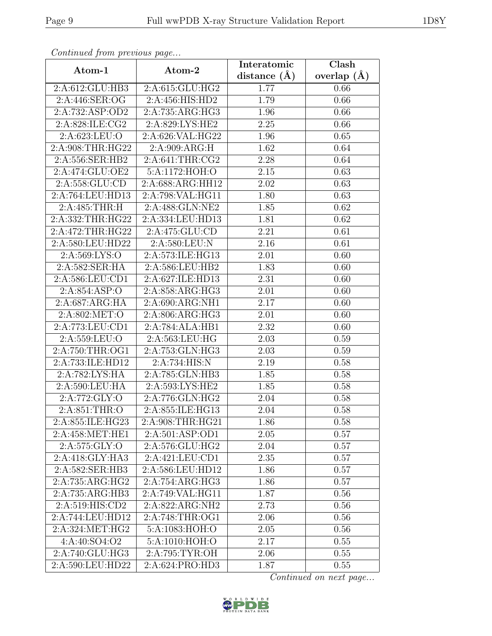| Continuea from previous page         |                  | Interatomic       | Clash             |
|--------------------------------------|------------------|-------------------|-------------------|
| Atom-1                               | Atom-2           | distance $(A)$    | overlap $(A)$     |
| 2:A:612:GLU:HB3                      | 2:A:615:GLU:HG2  | 1.77              | 0.66              |
| 2:A:446:SER:OG                       | 2:A:456:HIS:HD2  | $\overline{1.79}$ | 0.66              |
| 2:A:732:ASP:OD2                      | 2:A:735:ARG:HG3  | 1.96              | 0.66              |
| 2:A:828:ILE:CG2                      | 2:A:829:LYS:HE2  | 2.25              | 0.66              |
| 2:A:623:LEU:O                        | 2:A:626:VAL:HG22 | 1.96              | 0.65              |
| 2:A:908:THR:HG22                     | 2:A:909:ARG:H    | 1.62              | $0.\overline{64}$ |
| 2:A:556:SER:HB2                      | 2:A:641:THR:CG2  | 2.28              | 0.64              |
| 2:A:474:GLU:OE2                      | 5:A:1172:HOH:O   | 2.15              | 0.63              |
| 2:A:558:GLU:CD                       | 2:A:688:ARG:HH12 | 2.02              | 0.63              |
| 2:A:764:LEU:HD13                     | 2:A:798:VAL:HG11 | 1.80              | 0.63              |
| 2:A:485:THR:H                        | 2:A:488:GLN:NE2  | 1.85              | 0.62              |
| 2:A:332:THR:HG22                     | 2:A:334:LEU:HD13 | 1.81              | 0.62              |
| 2:A:472:THR:HG22                     | 2:A:475:GLU:CD   | 2.21              | 0.61              |
| 2:A:580:LEU:HD22                     | 2:A:580:LEU:N    | 2.16              | 0.61              |
| 2:A:569:LYS:O                        | 2:A:573:ILE:HG13 | 2.01              | 0.60              |
| 2:A:582:SER:HA                       | 2:A:586:LEU:HB2  | 1.83              | 0.60              |
| 2:A:586:LEU:CD1                      | 2:A:627:ILE:HD13 | 2.31              | 0.60              |
| 2:A:854:ASP:O                        | 2:A:858:ARG:HG3  | 2.01              | 0.60              |
| 2:A:687:ARG:HA                       | 2:A:690:ARG:NH1  | 2.17              | 0.60              |
| 2:A:802:MET:O                        | 2:A:806:ARG:HG3  | 2.01              | 0.60              |
| 2:A:773:LEU:CD1                      | 2:A:784:ALA:HB1  | 2.32              | 0.60              |
| 2:A:559:LEU:O                        | 2:A:563:LEU:HG   | 2.03              | 0.59              |
| 2:A:750:THR:OG1                      | 2:A:753:GLN:HG3  | 2.03              | 0.59              |
| 2:A:733:ILE:HD12                     | 2:A:734:HIS:N    | 2.19              | 0.58              |
| 2:A:782:LYS:HA                       | 2:A:785:GLN:HB3  | 1.85              | 0.58              |
| $2:A:590:\overline{\textrm{LEU:HA}}$ | 2:A:593:LYS:HE2  | 1.85              | 0.58              |
| 2:A:772:GLY:O                        | 2:A:776:GLN:HG2  | 2.04              | 0.58              |
| 2:A:851:THR:O                        | 2:A:855:ILE:HG13 | 2.04              | 0.58              |
| 2:A:855:ILE:HG23                     | 2:A:908:THR:HG21 | 1.86              | 0.58              |
| 2:A:458:MET:HE1                      | 2:A:501:ASP:OD1  | 2.05              | 0.57              |
| $2:A:575:\overline{GLY:O}$           | 2:A:576:GLU:HG2  | 2.04              | 0.57              |
| 2:A:418:GLY:HA3                      | 2:A:421:LEU:CD1  | 2.35              | 0.57              |
| 2:A:582:SER:HB3                      | 2:A:586:LEU:HD12 | 1.86              | 0.57              |
| 2:A:735:ARG:HG2                      | 2:A:754:ARG:HG3  | 1.86              | 0.57              |
| 2:A:735:ARG:HB3                      | 2:A:749:VAL:HG11 | 1.87              | 0.56              |
| 2:A:519:HIS:CD2                      | 2:A:822:ARG:NH2  | 2.73              | 0.56              |
| 2:A:744:LEU:HD12                     | 2:A:748:THR:OG1  | 2.06              | 0.56              |
| 2:A:324:MET:HG2                      | 5:A:1083:HOH:O   | 2.05              | 0.56              |
| 4:A:40:SO4:O2                        | 5:A:1010:HOH:O   | 2.17              | 0.55              |
| 2:A:740:GLU:HG3                      | 2:A:795:TYR:OH   | 2.06              | 0.55              |
| 2:A:590:LEU:HD22                     | 2:A:624:PRO:HD3  | 1.87              | 0.55              |

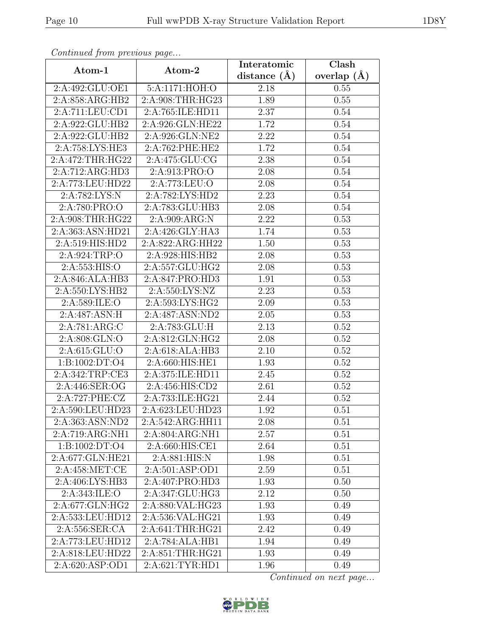| Continued from previous page |                               | Interatomic      | Clash           |
|------------------------------|-------------------------------|------------------|-----------------|
| Atom-1                       | Atom-2                        | distance $(\AA)$ | overlap $(\AA)$ |
| 2:A:492:GLU:OE1              | 5:A:1171:HOH:O                | 2.18             | 0.55            |
| 2:A:858:ARG:HB2              | 2:A:908:THR:HG23              | 1.89             | 0.55            |
| 2:A:711:LEU:CD1              | 2:A:765:ILE:HD11              | 2.37             | 0.54            |
| 2:A:922:GLU:HB2              | 2:A:926:GLN:HE22              | 1.72             | 0.54            |
| 2:A:922:GLU:HB2              | 2:A:926:GLN:NE2               | 2.22             | 0.54            |
| 2:A:758:LYS:HE3              | 2:A:762:PHE:HE2               | 1.72             | 0.54            |
| 2:A:472:THR:HG22             | 2:A:475:GLU:CG                | 2.38             | 0.54            |
| 2:A:712:ARG:HD3              | 2:A:913:PRO:O                 | 2.08             | 0.54            |
| 2:A:773:LEU:HD22             | 2:A:773:LEU:O                 | 2.08             | 0.54            |
| 2:A:782:LYS:N                | 2:A:782:LYS:HD2               | 2.23             | 0.54            |
| 2:A:780:PRO:O                | 2:A:783:GLU:HB3               | 2.08             | 0.54            |
| 2:A:908:THR:HG22             | 2:A:909:ARG:N                 | 2.22             | 0.53            |
| 2:A:363:ASN:HD21             | 2:A:426:GLY:HA3               | 1.74             | 0.53            |
| $2:A:519:HI\overline{S:HD2}$ | $2:A:822:ARG:\overline{HH22}$ | 1.50             | 0.53            |
| 2:A:924:TRP:O                | 2:A:928:HIS:HB2               | 2.08             | 0.53            |
| 2:A:553:HIS:O                | 2:A:557:GLU:HG2               | 2.08             | 0.53            |
| 2:A:846:ALA:HB3              | 2:A:847:PRO:HD3               | 1.91             | 0.53            |
| 2:A:550:LYS:HB2              | 2:A:550:LYS:NZ                | 2.23             | 0.53            |
| 2:A:589:ILE:O                | 2:A:593:LYS:HG2               | 2.09             | 0.53            |
| 2:A:487:ASN:H                | 2:A:487:ASN:ND2               | 2.05             | 0.53            |
| 2:A:781:ARG:C                | 2:A:783:GLU:H                 | 2.13             | 0.52            |
| 2:A:808:GLN:O                | 2:A:812:GLN:HG2               | 2.08             | 0.52            |
| 2:A:615:GLU:O                | 2:A:618:ALA:HB3               | 2.10             | 0.52            |
| 1:B:1002:DT:O4               | 2:A:660:HIS:HE1               | 1.93             | 0.52            |
| 2:A:342:TRP:CE3              | 2:A:375:ILE:HD11              | 2.45             | 0.52            |
| 2:A:446:SER:OG               | 2:A:456:HIS:CD2               | 2.61             | 0.52            |
| 2:A:727:PHE:CZ               | 2:A:733:ILE:HG21              | 2.44             | 0.52            |
| 2:A:590:LEU:HD23             | 2:A:623:LEU:HD23              | 1.92             | 0.51            |
| $2:A:363:\overline{ASN:ND2}$ | $2:A:542:A\overline{RG:HH11}$ | 2.08             | 0.51            |
| 2:A:719:ARG:NH1              | 2:A:804:ARG:NH1               | 2.57             | 0.51            |
| 1:B:1002:DT:O4               | 2:A:660:HIS:CE1               | 2.64             | 0.51            |
| 2:A:677:GLN:HE21             | 2:A:881:HIS:N                 | 1.98             | 0.51            |
| 2:A:458:MET:CE               | 2:A:501:ASP:OD1               | 2.59             | 0.51            |
| 2:A:406:LYS:HB3              | 2:A:407:PRO:HD3               | 1.93             | 0.50            |
| 2:A:343:ILE:O                | 2:A:347:GLU:HG3               | 2.12             | 0.50            |
| 2:A:677:GLN:HG2              | 2:A:880:VAL:HG23              | 1.93             | 0.49            |
| 2:A:533:LEU:HD12             | 2:A:536:VAL:HG21              | 1.93             | 0.49            |
| 2:A:556:SER:CA               | 2:A:641:THR:HG21              | 2.42             | 0.49            |
| 2:A:773:LEU:HD12             | 2:A:784:ALA:HB1               | 1.94             | 0.49            |
| 2:A:818:LEU:HD22             | 2:A:851:THR:HG21              | 1.93             | 0.49            |
| 2:A:620:ASP:OD1              | 2:A:621:TYR:HD1               | 1.96             | 0.49            |

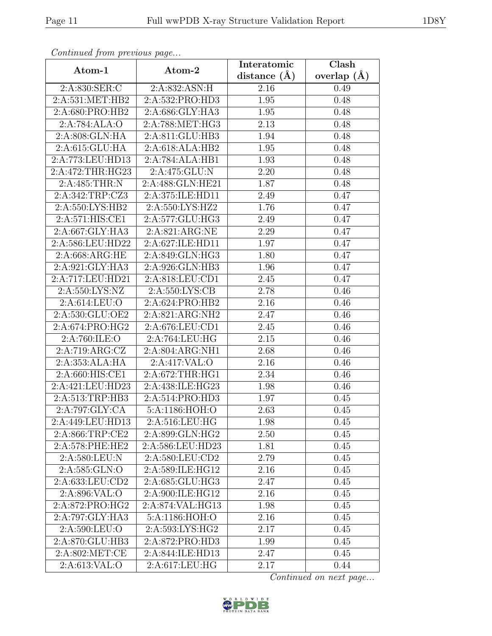| Continueu from pretious page                   |                            | Interatomic    | $\overline{\text{Clash}}$ |
|------------------------------------------------|----------------------------|----------------|---------------------------|
| Atom-1                                         | Atom-2                     | distance $(A)$ | overlap $(\AA)$           |
| 2:A:830:SER:C                                  | 2:A:832:ASN:H              | 2.16           | 0.49                      |
| $2:A:531:\overline{\mathrm{MET}:\mathrm{HB}2}$ | 2:A:532:PRO:HD3            | 1.95           | 0.48                      |
| 2:A:680:PRO:HB2                                | 2:A:686:GLY:HA3            | 1.95           | 0.48                      |
| 2:A:784:ALA:O                                  | 2:A:788:MET:HG3            | 2.13           | 0.48                      |
| 2:A:808:GLN:HA                                 | 2:A:811:GLU:HB3            | 1.94           | 0.48                      |
| 2:A:615:GLU:HA                                 | 2:A:618:ALA:HB2            | 1.95           | 0.48                      |
| 2:A:773:LEU:HD13                               | 2:A:784:ALA:HB1            | 1.93           | 0.48                      |
| 2:A:472:THR:HG23                               | 2:A:475:GLU:N              | 2.20           | 0.48                      |
| 2:A:485:THR:N                                  | 2:A:488:GLN:HE21           | 1.87           | 0.48                      |
| 2:A:342:TRP:CZ3                                | 2:A:375:ILE:HD11           | 2.49           | 0.47                      |
| 2:A:550:LYS:HB2                                | 2:A:550:LYS:HZ2            | 1.76           | 0.47                      |
| 2:A:571:HIS:CE1                                | 2:A:577:GLU:HG3            | 2.49           | 0.47                      |
| 2:A:667:GLY:HA3                                | 2:A:821:ARG:NE             | 2.29           | 0.47                      |
| 2:A:586:LEU:HD22                               | 2:A:627:ILE:HD11           | 1.97           | 0.47                      |
| 2:A:668:ARG:HE                                 | 2:A:849:GLN:HG3            | 1.80           | 0.47                      |
| 2:A:921:GLY:HA3                                | 2:A:926:GLN:HB3            | 1.96           | 0.47                      |
| 2:A:717:LEU:HD21                               | 2:A:818:LEU:CD1            | 2.45           | 0.47                      |
| 2:A:550:LYS:NZ                                 | 2: A: 550: LYS: CB         | 2.78           | 0.46                      |
| 2:A:614:LEU:O                                  | 2:A:624:PRO:HB2            | 2.16           | 0.46                      |
| 2:A:530:GLU:OE2                                | 2:A:821:ARG:NH2            | 2.47           | 0.46                      |
| 2:A:674:PRO:HG2                                | 2:A:676:LEU:CD1            | 2.45           | 0.46                      |
| 2:A:760:ILE:O                                  | 2:A:764:LEU:HG             | 2.15           | 0.46                      |
| 2:A:719:ARG:CZ                                 | 2:A:804:ARG:NH1            | 2.68           | 0.46                      |
| 2:A:353:ALA:HA                                 | $2:A:417:\overline{VAL:O}$ | 2.16           | 0.46                      |
| 2:A:660:HIS:CE1                                | 2:A:672:THR:HG1            | 2.34           | 0.46                      |
| 2:A:421:LEU:HD23                               | 2:A:438:ILE:HG23           | 1.98           | 0.46                      |
| 2:A:513:TRP:HB3                                | 2:A:514:PRO:HD3            | 1.97           | 0.45                      |
| $2:A:797:\overline{GLY:CA}$                    | 5:A:1186:HOH:O             | 2.63           | 0.45                      |
| 2:A:449:LEU:HD13                               | 2:A:516:LEU:HG             | 1.98           | 0.45                      |
| 2:A:866:TRP:CE2                                | 2:A:899:GLN:HG2            | 2.50           | 0.45                      |
| 2:A:578:PHE:HE2                                | 2:A:586:LEU:HD23           | 1.81           | 0.45                      |
| 2:A:580:LEU:N                                  | 2:A:580:LEU:CD2            | 2.79           | 0.45                      |
| 2:A:585:GLN:O                                  | 2:A:589:ILE:HG12           | 2.16           | 0.45                      |
| 2:A:633:LEU:CD2                                | 2:A:685:GLU:HG3            | 2.47           | 0.45                      |
| 2:A:896:VAL:O                                  | 2:A:900:ILE:HG12           | 2.16           | 0.45                      |
| 2:A:872:PRO:HG2                                | 2:A:874:VAL:HG13           | 1.98           | 0.45                      |
| 2:A:797:GLY:HA3                                | 5:A:1186:HOH:O             | 2.16           | 0.45                      |
| 2:A:590:LEU:O                                  | 2:A:593:LYS:HG2            | 2.17           | 0.45                      |
| 2:A:870:GLU:HB3                                | 2:A:872:PRO:HD3            | 1.99           | 0.45                      |
| 2:A:802:MET:CE                                 | 2:A:844:ILE:HD13           | 2.47           | 0.45                      |
| 2:A:613:VAL:O                                  | 2:A:617:LEU:HG             | 2.17           | 0.44                      |

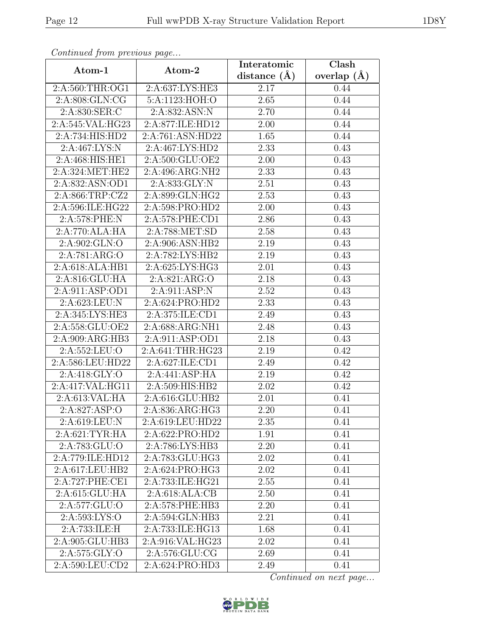| Continuea from previous page |                             | Interatomic       | Clash         |
|------------------------------|-----------------------------|-------------------|---------------|
| Atom-1                       | Atom-2                      | distance $(\AA)$  | overlap $(A)$ |
| 2:A:560:THR:OG1              | 2:A:637:LYS:HE3             | 2.17              | 0.44          |
| 2:A:808:GLN:CG               | 5:A:1123:HOH:O              | 2.65              | 0.44          |
| 2:A:830:SER:C                | 2:A:832:ASN:N               | 2.70              | 0.44          |
| 2:A:545:VAL:HG23             | 2:A:877:ILE:HD12            | 2.00              | 0.44          |
| 2:A:734:HIS:HD2              | 2:A:761:ASN:HD22            | 1.65              | 0.44          |
| 2:A:467:LYS:N                | 2:A:467:LYS:HD2             | 2.33              | 0.43          |
| 2:A:468:HIS:HE1              | 2:A:500:GLU:OE2             | 2.00              | 0.43          |
| 2:A:324:MET:HE2              | 2:A:496:ARG:NH2             | 2.33              | 0.43          |
| 2:A:832:ASN:OD1              | 2:A:833:GLY:N               | 2.51              | 0.43          |
| 2:A:866:TRP:CZ2              | 2:A:899:GLN:HG2             | 2.53              | 0.43          |
| 2:A:596:ILE:HG22             | 2:A:598:PRO:HD2             | 2.00              | 0.43          |
| 2:A:578:PHE:N                | 2:A:578:PHE:CD1             | 2.86              | 0.43          |
| 2:A:770:ALA:HA               | 2:A:788:MET:SD              | 2.58              | 0.43          |
| 2:A:902:GLN:O                | 2:A:906:ASN:HB2             | 2.19              | 0.43          |
| 2:A:781:ARG:O                | 2:A:782:LYS:HB2             | 2.19              | 0.43          |
| 2:A:618:ALA:HB1              | 2:A:625:LYS:HG3             | 2.01              | 0.43          |
| 2:A:816:GLU:HA               | 2:A:821:ARG:O               | 2.18              | 0.43          |
| 2:A:911:ASP:OD1              | 2:A:911:ASP:N               | 2.52              | 0.43          |
| 2:A:623:LEU:N                | 2:A:624:PRO:HD2             | $\overline{2.3}3$ | 0.43          |
| 2:A:345:LYS:HE3              | 2:A:375:ILE:CD1             | 2.49              | 0.43          |
| 2:A:558:GLU:OE2              | 2:A:688:ARG:NH1             | 2.48              | 0.43          |
| 2:A:909:ARG:HB3              | 2:A:911:ASP:OD1             | 2.18              | 0.43          |
| 2:A:552:LEU:O                | 2:A:641:THR:HG23            | 2.19              | 0.42          |
| 2:A:586:LEU:HD22             | 2:A:627:ILE:CD1             | 2.49              | 0.42          |
| 2:A:418:GLY:O                | 2:A:441:ASP:HA              | 2.19              | 0.42          |
| 2:A:417:VAL:HG11             | 2:A:509:HIS:HB2             | 2.02              | 0.42          |
| 2:A:613:VAL:HA               | 2:A:616:GLU:HB2             | 2.01              | 0.41          |
| 2:A:827:ASP:O                | 2:A:836:ARG:HG3             | 2.20              | 0.41          |
| 2:A:619:LEU:N                | 2:A:619:LEU:HD22            | 2.35              | 0.41          |
| 2:A:621:TYR:HA               | 2:A:622:PRO:H <sub>D2</sub> | 1.91              | 0.41          |
| 2:A:783:GLU:O                | 2:A:786:LYS:HB3             | 2.20              | 0.41          |
| 2:A:779:ILE:HD12             | 2:A:783:GLU:HG3             | 2.02              | 0.41          |
| 2:A:617:LEU:HB2              | 2:A:624:PRO:HG3             | 2.02              | 0.41          |
| 2:A:727:PHE:CE1              | 2:A:733:ILE:HG21            | 2.55              | 0.41          |
| 2:A:615:GLU:HA               | 2:A:618:ALA:CB              | 2.50              | 0.41          |
| 2:A:577:GLU:O                | 2:A:578:PHE:HB3             | 2.20              | 0.41          |
| 2:A:593:LYS:O                | 2:A:594:GLN:HB3             | 2.21              | 0.41          |
| 2:A:733:ILE:H                | 2:A:733:ILE:HG13            | 1.68              | 0.41          |
| 2:A:905:GLU:HB3              | 2:A:916:VAL:HG23            | 2.02              | 0.41          |
| 2:A:575:GLY:O                | 2:A:576:GLU:CG              | 2.69              | 0.41          |
| 2:A:590:LEU:CD2              | 2:A:624:PRO:HD3             | 2.49              | 0.41          |

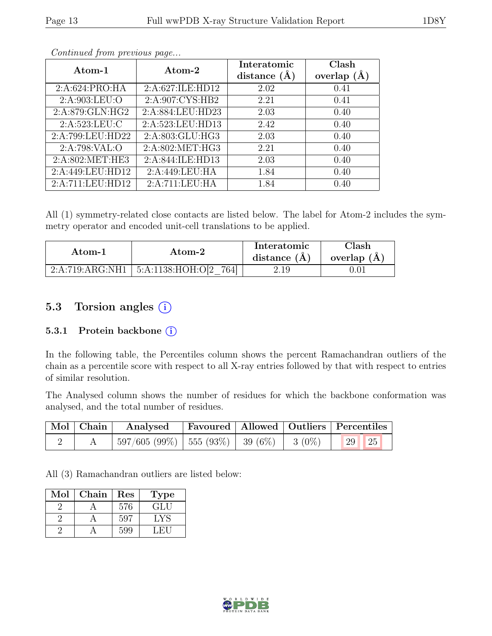| Atom-1           | Atom-2            | Interatomic<br>distance $(\AA)$ | Clash<br>overlap $(A)$ |
|------------------|-------------------|---------------------------------|------------------------|
| 2: A:624: PRO:HA | 2:A:627:ILE:HD12  | 2.02                            | 0.41                   |
| 2:A:903:LEU:O    | 2:A:907:CYS:HB2   | 2.21                            | 0.41                   |
| 2:A:879:GLN:HG2  | 2:A:884:LEU:HD23  | 2.03                            | 0.40                   |
| 2:A:523:LEU:C    | 2:A:523:LEU:HD13  | 2.42                            | 0.40                   |
| 2:A:799:LEU:HD22 | 2:A:803:GLU:HG3   | 2.03                            | 0.40                   |
| 2:A:798:VAL:O    | 2: A:802: MET:HG3 | 2.21                            | 0.40                   |
| 2:A:802:MET:HE3  | 2:A:844:ILE:HD13  | 2.03                            | 0.40                   |
| 2:A:449:LEU:HD12 | 2:A:449:LEU:HA    | 1.84                            | 0.40                   |
| 2:A:711:LEU:HD12 | 2:A:711:LEU:HA    | 1.84                            | 0.40                   |

All (1) symmetry-related close contacts are listed below. The label for Atom-2 includes the symmetry operator and encoded unit-cell translations to be applied.

| $\rm{Atom}\text{-}2$ |                          | Interatomic    | Clash         |
|----------------------|--------------------------|----------------|---------------|
| Atom-1               |                          | distance $(A)$ | overlap $(A)$ |
| 2:A:719:ARG:NH1      | 5:A:1138:HOH:O[2]<br>764 | 2.19           | 0.01          |

## 5.3 Torsion angles (i)

#### 5.3.1 Protein backbone (i)

In the following table, the Percentiles column shows the percent Ramachandran outliers of the chain as a percentile score with respect to all X-ray entries followed by that with respect to entries of similar resolution.

The Analysed column shows the number of residues for which the backbone conformation was analysed, and the total number of residues.

|  | Mol   Chain   Analysed   Favoured   Allowed   Outliers   Percentiles |  |  |
|--|----------------------------------------------------------------------|--|--|
|  | $^+$ 597/605 (99%)   555 (93%)   39 (6%)   3 (0%)   29   25          |  |  |

All (3) Ramachandran outliers are listed below:

| Mol | Chain | Res | <b>Type</b> |
|-----|-------|-----|-------------|
|     |       | 576 | GLU         |
|     |       | 597 | LYS         |
|     |       | 599 | ∴H`I        |

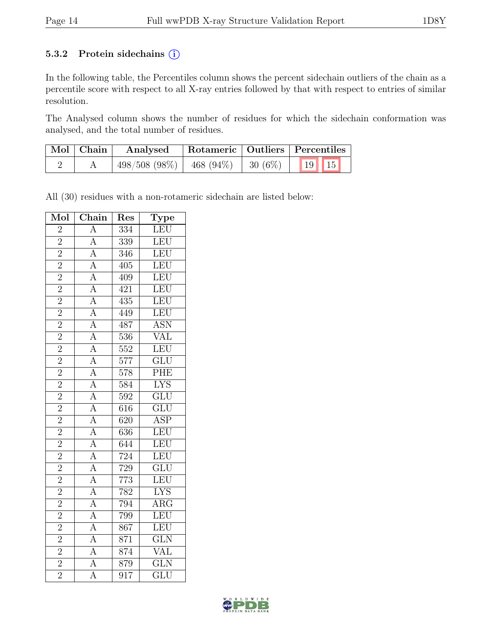#### 5.3.2 Protein sidechains (i)

In the following table, the Percentiles column shows the percent sidechain outliers of the chain as a percentile score with respect to all X-ray entries followed by that with respect to entries of similar resolution.

The Analysed column shows the number of residues for which the sidechain conformation was analysed, and the total number of residues.

| $\mid$ Mol $\mid$ Chain | Analysed        |               | Rotameric   Outliers   Percentiles |
|-------------------------|-----------------|---------------|------------------------------------|
|                         | $498/508(98\%)$ | $ 468(94\%) $ | $\mid$ 30 (6%) $\mid$ 19 15        |

All (30) residues with a non-rotameric sidechain are listed below:

| Mol                         | Chain                                                                                                                                                                                                                                                                                                                                                                                        | Res               | Type                                     |
|-----------------------------|----------------------------------------------------------------------------------------------------------------------------------------------------------------------------------------------------------------------------------------------------------------------------------------------------------------------------------------------------------------------------------------------|-------------------|------------------------------------------|
| $\overline{2}$              |                                                                                                                                                                                                                                                                                                                                                                                              | $\overline{334}$  | LEU                                      |
| $\frac{2}{2}$               |                                                                                                                                                                                                                                                                                                                                                                                              | 339               | LEU                                      |
|                             |                                                                                                                                                                                                                                                                                                                                                                                              | 346               | LEU                                      |
| $\frac{2}{2}$               |                                                                                                                                                                                                                                                                                                                                                                                              | 405               | LEU                                      |
|                             |                                                                                                                                                                                                                                                                                                                                                                                              | 409               | LEU                                      |
| $\overline{2}$              |                                                                                                                                                                                                                                                                                                                                                                                              | 421               | LEU                                      |
| $\frac{2}{2}$               |                                                                                                                                                                                                                                                                                                                                                                                              | 435               | LEU                                      |
|                             |                                                                                                                                                                                                                                                                                                                                                                                              | 449               | LEU                                      |
| $\frac{1}{2}$               |                                                                                                                                                                                                                                                                                                                                                                                              | 487               | <b>ASN</b>                               |
| $\overline{2}$              |                                                                                                                                                                                                                                                                                                                                                                                              | $\overline{536}$  | $\frac{1}{\sqrt{AL}}$                    |
| $\overline{2}$              |                                                                                                                                                                                                                                                                                                                                                                                              | $\overline{552}$  | LEU                                      |
| $\overline{2}$              |                                                                                                                                                                                                                                                                                                                                                                                              | 577               | $rac{\overline{\text{GLU}}}{\text{PHE}}$ |
| $\frac{2}{2}$               |                                                                                                                                                                                                                                                                                                                                                                                              | 578               |                                          |
|                             |                                                                                                                                                                                                                                                                                                                                                                                              | 584               | <b>LYS</b>                               |
| $\overline{2}$              |                                                                                                                                                                                                                                                                                                                                                                                              | $\overline{592}$  | $\overline{\text{GLU}}$                  |
| $\overline{2}$              |                                                                                                                                                                                                                                                                                                                                                                                              | 616               | $\overline{\text{GLU}}$                  |
| $\overline{2}$              |                                                                                                                                                                                                                                                                                                                                                                                              | $\overline{620}$  | $\overline{\text{ASP}}$                  |
| $\frac{2}{2}$               |                                                                                                                                                                                                                                                                                                                                                                                              | 636               | LEU                                      |
|                             |                                                                                                                                                                                                                                                                                                                                                                                              | 644               | LEU                                      |
| $\overline{2}$              |                                                                                                                                                                                                                                                                                                                                                                                              | 724               | LEU                                      |
| $\overline{2}$              |                                                                                                                                                                                                                                                                                                                                                                                              | 729               | $\overline{\text{GLU}}$                  |
| $\overline{2}$              | $\frac{A}{A} \frac{A}{A} \frac{A}{A} \frac{A}{A} \frac{A}{A} \frac{A}{A} \frac{A}{A} \frac{A}{A} \frac{A}{A} \frac{A}{A} \frac{A}{A} \frac{A}{A} \frac{A}{A} \frac{A}{A} \frac{A}{A} \frac{A}{A} \frac{A}{A} \frac{A}{A} \frac{A}{A} \frac{A}{A} \frac{A}{A} \frac{A}{A} \frac{A}{A} \frac{A}{A} \frac{A}{A} \frac{A}{A} \frac{A}{A} \frac{A}{A} \frac{A}{A} \frac{A}{A} \frac{A}{A} \frac{$ | $\frac{773}{782}$ | LEU                                      |
| $\overline{2}$              |                                                                                                                                                                                                                                                                                                                                                                                              |                   | $\overline{\text{LYS}}$                  |
| $\overline{2}$              |                                                                                                                                                                                                                                                                                                                                                                                              | 794               | $\overline{\rm{ARG}}$                    |
| $\overline{2}$              |                                                                                                                                                                                                                                                                                                                                                                                              | 799               | LEU                                      |
| $\overline{2}$              |                                                                                                                                                                                                                                                                                                                                                                                              | $\overline{86}$   | LEU                                      |
| $\overline{2}$              |                                                                                                                                                                                                                                                                                                                                                                                              | 871               | $\overline{\text{GLN}}$                  |
|                             |                                                                                                                                                                                                                                                                                                                                                                                              | 874               | $\overline{\text{VAL}}$                  |
| $\frac{1}{2}$ $\frac{1}{2}$ |                                                                                                                                                                                                                                                                                                                                                                                              | 879               | $\overline{\text{GLN}}$                  |
|                             |                                                                                                                                                                                                                                                                                                                                                                                              | 917               | $\overline{\mathrm{GLU}}$                |

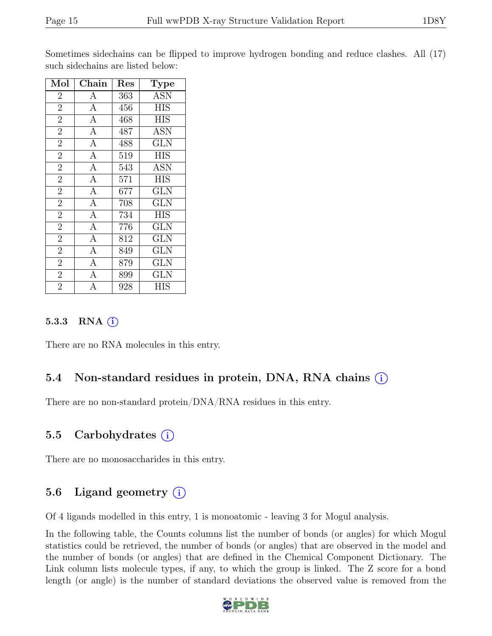Sometimes sidechains can be flipped to improve hydrogen bonding and reduce clashes. All (17) such sidechains are listed below:

| Mol            | ${\rm Chain}$  | Res | Type             |
|----------------|----------------|-----|------------------|
| $\overline{2}$ | $\mathbf{A}$   | 363 | <b>ASN</b>       |
| $\overline{2}$ | $\overline{A}$ | 456 | $\overline{HIS}$ |
| $\overline{2}$ | $\overline{A}$ | 468 | <b>HIS</b>       |
| $\overline{2}$ | $\overline{A}$ | 487 | ASN              |
| $\overline{2}$ | $\overline{A}$ | 488 | <b>GLN</b>       |
| $\overline{2}$ | $\mathbf{A}$   | 519 | <b>HIS</b>       |
| $\overline{2}$ | $\overline{A}$ | 543 | <b>ASN</b>       |
| $\overline{2}$ | $\overline{A}$ | 571 | <b>HIS</b>       |
| $\overline{2}$ | $\overline{A}$ | 677 | <b>GLN</b>       |
| $\overline{2}$ | $\overline{A}$ | 708 | GLN              |
| $\overline{2}$ | $\overline{A}$ | 734 | <b>HIS</b>       |
| $\overline{2}$ | $\overline{A}$ | 776 | <b>GLN</b>       |
| $\overline{2}$ | $\overline{A}$ | 812 | <b>GLN</b>       |
| $\overline{2}$ | $\overline{A}$ | 849 | <b>GLN</b>       |
| $\overline{2}$ | $\overline{A}$ | 879 | GLN              |
| $\overline{2}$ | А              | 899 | <b>GLN</b>       |
| $\overline{2}$ | А              | 928 | HIS              |

#### 5.3.3 RNA (i)

There are no RNA molecules in this entry.

### 5.4 Non-standard residues in protein, DNA, RNA chains (i)

There are no non-standard protein/DNA/RNA residues in this entry.

### 5.5 Carbohydrates (i)

There are no monosaccharides in this entry.

### 5.6 Ligand geometry  $(i)$

Of 4 ligands modelled in this entry, 1 is monoatomic - leaving 3 for Mogul analysis.

In the following table, the Counts columns list the number of bonds (or angles) for which Mogul statistics could be retrieved, the number of bonds (or angles) that are observed in the model and the number of bonds (or angles) that are defined in the Chemical Component Dictionary. The Link column lists molecule types, if any, to which the group is linked. The Z score for a bond length (or angle) is the number of standard deviations the observed value is removed from the

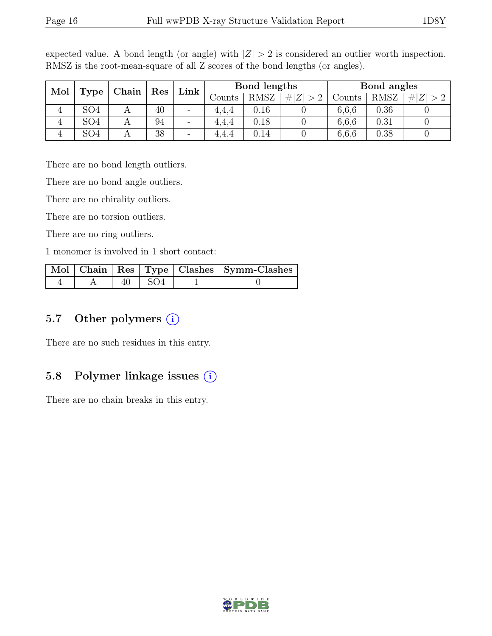| Mol<br>Chain<br>Res |                 | Link | Bond lengths             |        |             | Bond angles                     |        |             |  |
|---------------------|-----------------|------|--------------------------|--------|-------------|---------------------------------|--------|-------------|--|
|                     | Type            |      |                          | Counts | <b>RMSZ</b> | Z <sub>l</sub><br>#<br>$\sim$ 0 | Counts | <b>RMSZ</b> |  |
| 4                   | SO4             | 40   | $\overline{\phantom{a}}$ | 4.4.4  | $0.16\,$    |                                 | 6,6,6  | 0.36        |  |
| 4                   | SO <sub>4</sub> | 94   | $\overline{\phantom{a}}$ | 4.4.4  | 0.18        |                                 | 6,6,6  | 0.31        |  |
|                     | SO4             | 38   | $\overline{\phantom{m}}$ | 4.4.4  | $0.14\,$    |                                 | 6,6,6  | 0.38        |  |

expected value. A bond length (or angle) with  $|Z| > 2$  is considered an outlier worth inspection. RMSZ is the root-mean-square of all Z scores of the bond lengths (or angles).

There are no bond length outliers.

There are no bond angle outliers.

There are no chirality outliers.

There are no torsion outliers.

There are no ring outliers.

1 monomer is involved in 1 short contact:

|  |               | Mol   Chain   Res   Type   Clashes   Symm-Clashes |
|--|---------------|---------------------------------------------------|
|  | $40 \mid SO4$ |                                                   |

### 5.7 Other polymers  $(i)$

There are no such residues in this entry.

#### 5.8 Polymer linkage issues (i)

There are no chain breaks in this entry.

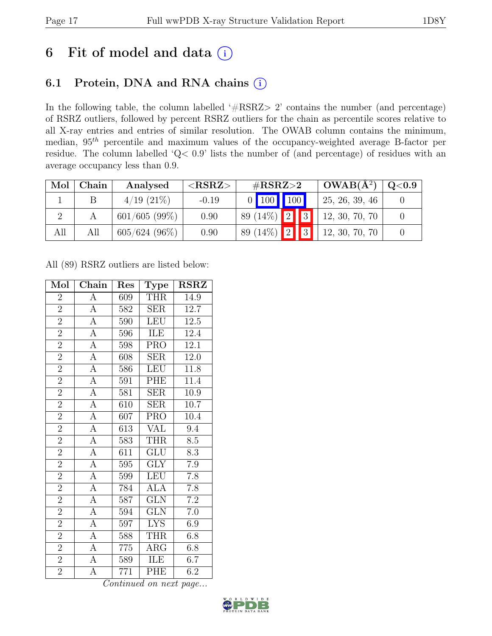# 6 Fit of model and data  $(i)$

# 6.1 Protein, DNA and RNA chains (i)

In the following table, the column labelled ' $\#\text{RSRZ}>2$ ' contains the number (and percentage) of RSRZ outliers, followed by percent RSRZ outliers for the chain as percentile scores relative to all X-ray entries and entries of similar resolution. The OWAB column contains the minimum, median,  $95<sup>th</sup>$  percentile and maximum values of the occupancy-weighted average B-factor per residue. The column labelled 'Q< 0.9' lists the number of (and percentage) of residues with an average occupancy less than 0.9.

| Mol | Chain | Analysed         | ${ <\hspace{-1.5pt}{\mathrm{RSRZ}} \hspace{-1.5pt}>}$ | $\#\text{RSRZ}\text{>2}$          | $OWAB(A^2)$    | Q <sub>0.9</sub> |
|-----|-------|------------------|-------------------------------------------------------|-----------------------------------|----------------|------------------|
|     |       | $4/19$ $(21\%)$  | $-0.19$                                               | $0$ 100 100                       | 25, 26, 39, 46 |                  |
|     |       | $601/605(99\%)$  | 0.90                                                  | 89 (14\%) $\boxed{2}$ $\boxed{3}$ | 12, 30, 70, 70 |                  |
| All | All   | $605/624$ (96\%) | 0.90                                                  | 89 (14\%)   2   3                 | 12, 30, 70, 70 |                  |

All (89) RSRZ outliers are listed below:

| Mol            | Chain              | Res              | <b>Type</b>             | <b>RSRZ</b>       |
|----------------|--------------------|------------------|-------------------------|-------------------|
| $\overline{2}$ | $\boldsymbol{A}$   | 609              | <b>THR</b>              | 14.9              |
| $\overline{2}$ | $\overline{A}$     | 582              | <b>SER</b>              | 12.7              |
| $\overline{2}$ | $\overline{A}$     | 590              | LEU                     | $12.5\,$          |
| $\overline{2}$ | $\overline{A}$     | 596              | ILE                     | 12.4              |
| $\overline{2}$ | $\overline{A}$     | 598              | PRO                     | $12.\overline{1}$ |
| $\overline{2}$ | $\overline{A}$     | 608              | <b>SER</b>              | 12.0              |
| $\overline{2}$ | $\overline{A}$     | 586              | <b>LEU</b>              | 11.8              |
| $\overline{2}$ | $\overline{A}$     | 591              | PHE                     | 11.4              |
| $\overline{2}$ | $\overline{A}$     | 581              | <b>SER</b>              | 10.9              |
| $\overline{2}$ | $\overline{A}$     | 610              | SER                     | $\overline{10.7}$ |
| $\overline{2}$ | $\overline{A}$     | 607              | <b>PRO</b>              | 10.4              |
| $\overline{2}$ | $\overline{A}$     | $\overline{613}$ | $\overline{\text{VAL}}$ | 9.4               |
| $\overline{2}$ | $\overline{A}$     | 583              | <b>THR</b>              | 8.5               |
| $\overline{2}$ | $\overline{A}$     | 611              | $\overline{{\rm GLU}}$  | 8.3               |
| $\overline{2}$ | $\overline{A}$     | 595              | $\overline{\text{GLY}}$ | 7.9               |
| $\overline{2}$ | $\overline{A}$     | 599              | <b>LEU</b>              | 7.8               |
| $\overline{2}$ | $\overline{A}$     | 784              | <b>ALA</b>              | $\overline{7.8}$  |
| $\overline{2}$ | $\boldsymbol{A}$   | 587              | <b>GLN</b>              | $7.2\,$           |
| $\overline{2}$ | $\overline{A}$     | 594              | <b>GLN</b>              | $7.0\,$           |
| $\overline{2}$ | $\overline{A}$     | 597              | <b>LYS</b>              | 6.9               |
| $\overline{2}$ | $\overline{A}$     | 588              | <b>THR</b>              | 6.8               |
| $\overline{2}$ | $\overline{A}$     | 775              | $\rm{AR}\bar{\rm{G}}$   | $6.\overline{8}$  |
| $\overline{2}$ | $\overline{A}$     | 589              | ILE                     | 6.7               |
| $\overline{2}$ | $\overline{\rm A}$ | 771              | PHE                     | 6.2               |

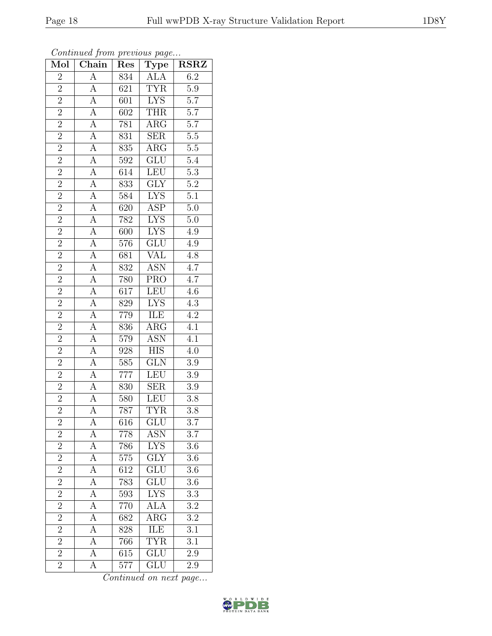| Mol                      | Chain                               | Res              | $\mathrm{\bar{Ty}pe}$   | <b>RSRZ</b>      |
|--------------------------|-------------------------------------|------------------|-------------------------|------------------|
| $\overline{2}$           | $\overline{A}$                      | 834              | <b>ALA</b>              | 6.2              |
| $\overline{2}$           | A                                   | 621              | <b>TYR</b>              | $\overline{5.9}$ |
| $\overline{2}$           | $\overline{A}$                      | 601              | <b>LYS</b>              | $\overline{5.7}$ |
| $\overline{2}$           | $\overline{A}$                      | 602              | <b>THR</b>              | $\overline{5.7}$ |
| $\overline{2}$           | $\overline{A}$                      | 781              | $\overline{\rm{ARG}}$   | $\overline{5.7}$ |
| $\overline{2}$           | $\overline{A}$                      | 831              | <b>SER</b>              | $\overline{5.5}$ |
| $\overline{2}$           | $\overline{A}$                      | $\overline{835}$ | $\widehat{ARG}$         | $\overline{5.5}$ |
| $\overline{2}$           | $\overline{A}$                      | $\overline{592}$ | GLU                     | 5.4              |
| $\frac{2}{2}$            | $\frac{\overline{A}}{\overline{A}}$ | 614              | LEU                     | $\overline{5.3}$ |
|                          |                                     | 833              | $\overline{\text{GLY}}$ | $\overline{5.2}$ |
| $\overline{2}$           | $\overline{A}$                      | 584              | <b>LYS</b>              | $\overline{5.1}$ |
| $\overline{2}$           | $\overline{A}$                      | $\overline{620}$ | $\overline{\text{ASP}}$ | $\overline{5.0}$ |
| $\overline{2}$           | $\overline{A}$                      | 782              | <b>LYS</b>              | $\overline{5.0}$ |
|                          | $\overline{A}$                      | 600              | <b>LYS</b>              | $4.9\,$          |
| $\frac{2}{2}$            | $\overline{A}$                      | 576              | $\overline{\text{GLU}}$ | $\overline{4.9}$ |
| $\overline{2}$           | $\overline{A}$                      | 681              | <b>VAL</b>              | 4.8              |
| $\overline{2}$           | $\overline{A}$                      | $\overline{832}$ | <b>ASN</b>              | $\overline{4.7}$ |
| $\overline{2}$           | $\overline{A}$                      | 780              | <b>PRO</b>              | $4.7\,$          |
| $\frac{2}{2}$            | $\overline{A}$                      | $\overline{617}$ | LEU                     | $\overline{4.6}$ |
|                          | $\overline{A}$                      | 829              | $\overline{\text{LYS}}$ | 4.3              |
|                          | $\overline{A}$                      | 779              | ILE                     | $\overline{4.2}$ |
| $\overline{2}$           | $\overline{A}$                      | 836              | $\overline{\rm{ARG}}$   | $\overline{4.1}$ |
| $\frac{2}{2}$            | $\overline{A}$                      | 579              | <b>ASN</b>              | $\overline{4.1}$ |
|                          | $\overline{A}$                      | $\overline{928}$ | <b>HIS</b>              | 4.0              |
| $\overline{2}$           | $\overline{A}$                      | 585              | $\overline{\text{GLN}}$ | 3.9              |
| $\overline{2}$           | $\overline{A}$                      | 777              | <b>LEU</b>              | $\overline{3.9}$ |
| $\frac{\overline{2}}{2}$ | $\overline{A}$                      | 830              | $\overline{\text{SER}}$ | $\overline{3.9}$ |
|                          | $\overline{A}$                      | 580              | LEU                     | $3.\overline{8}$ |
|                          | $\overline{A}$                      | 787              | <b>TYR</b>              | 3.8              |
| $\overline{c}$           | А                                   | 616              | $\overline{GLU}$        | $\overline{3.7}$ |
| $\overline{2}$           | A                                   | 778              | ASN                     | $3.\overline{7}$ |
| $\overline{2}$           | $\overline{A}$                      | 786              | <b>LYS</b>              | $\overline{3.6}$ |
| $\overline{2}$           | $\overline{A}$                      | 575              | $\overline{\text{GLY}}$ | 3.6              |
| $\overline{2}$           | $\overline{A}$                      | 612              | $\overline{\text{GLU}}$ | $\overline{3.6}$ |
| $\overline{2}$           | $\boldsymbol{A}$                    | 783              | GLU                     | 3.6              |
| $\overline{2}$           | $\overline{A}$                      | 593              | <b>LYS</b>              | $\overline{3.3}$ |
| $\overline{2}$           | $\overline{A}$                      | 770              | <b>ALA</b>              | $3.2\,$          |
| $\overline{2}$           | $\overline{\rm A}$                  | 682              | $\overline{\rm{ARG}}$   | $\overline{3.2}$ |
| $\overline{2}$           | $\overline{A}$                      | 828              | $\overline{\text{ILE}}$ | $3.\overline{1}$ |
| $\overline{2}$           | $\overline{A}$                      | 766              | <b>TYR</b>              | 3.1              |
| $\overline{2}$           | А                                   | 615              | GLU                     | 2.9              |
| $\overline{2}$           | А                                   | 577              | GLU                     | 2.9              |

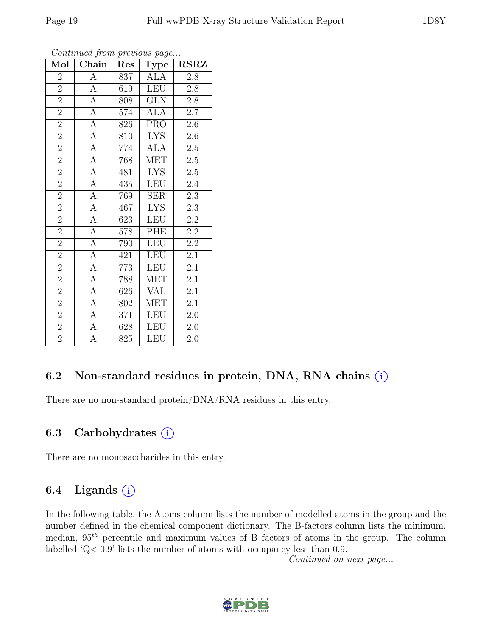| I |
|---|
|---|

| $\overline{\text{Mol}}$ | $\boldsymbol{\mathcal{J}}$<br>Chain | Res | $\mathbf{r}$<br>$\overline{U}$<br>Type | <b>RSRZ</b>      |
|-------------------------|-------------------------------------|-----|----------------------------------------|------------------|
| $\overline{2}$          | А                                   | 837 | ALA                                    | 2.8              |
| $\overline{2}$          | $\overline{\rm A}$                  | 619 | <b>LEU</b>                             | $2.8\,$          |
| $\overline{2}$          | $\overline{A}$                      | 808 | $\overline{\text{GLN}}$                | $2.8\,$          |
| $\overline{2}$          | $\overline{A}$                      | 574 | <b>ALA</b>                             | $2.7\,$          |
| $\overline{2}$          | $\overline{A}$                      | 826 | $\overline{\text{PRO}}$                | $2.6\,$          |
| $\overline{2}$          | A                                   | 810 | <b>LYS</b>                             | $2.6\,$          |
| $\overline{2}$          | $\overline{A}$                      | 774 | $AL\overline{A}$                       | $\overline{2.5}$ |
| $\overline{2}$          | $\overline{A}$                      | 768 | <b>MET</b>                             | $2.5\,$          |
| $\overline{2}$          | $\overline{A}$                      | 481 | $\overline{L}YS$                       | $2.5\,$          |
| $\overline{2}$          | $\overline{A}$                      | 435 | LEU                                    | $2.4\,$          |
| $\overline{2}$          | $\overline{A}$                      | 769 | SER                                    | 2.3              |
| $\overline{2}$          | $\overline{A}$                      | 467 | <b>LYS</b>                             | $2.\overline{3}$ |
| $\overline{2}$          | $\overline{A}$                      | 623 | <b>LEU</b>                             | $2.2\,$          |
| $\overline{2}$          | $\overline{A}$                      | 578 | PHE                                    | $2.2\,$          |
| $\overline{2}$          | $\overline{\rm A}$                  | 790 | <b>LEU</b>                             | $2.\overline{2}$ |
| $\overline{2}$          | $\boldsymbol{A}$                    | 421 | <b>LEU</b>                             | 2.1              |
| $\overline{2}$          | $\overline{A}$                      | 773 | LEU                                    | 2.1              |
| $\overline{2}$          | $\overline{A}$                      | 788 | <b>MET</b>                             | $\overline{2.1}$ |
| $\overline{2}$          | A                                   | 626 | <b>VAL</b>                             | 2.1              |
| $\overline{2}$          | $\boldsymbol{A}$                    | 802 | <b>MET</b>                             | $\overline{2.1}$ |
| $\overline{2}$          | А                                   | 371 | <b>LEU</b>                             | $2.0\,$          |
| $\overline{2}$          | $\overline{A}$                      | 628 | <b>LEU</b>                             | $2.0\,$          |
| $\overline{2}$          | A                                   | 825 | LEU                                    | 2.0              |

### 6.2 Non-standard residues in protein, DNA, RNA chains  $(i)$

There are no non-standard protein/DNA/RNA residues in this entry.

#### 6.3 Carbohydrates  $(i)$

There are no monosaccharides in this entry.

### 6.4 Ligands  $(i)$

In the following table, the Atoms column lists the number of modelled atoms in the group and the number defined in the chemical component dictionary. The B-factors column lists the minimum, median,  $95<sup>th</sup>$  percentile and maximum values of B factors of atoms in the group. The column labelled 'Q< 0.9' lists the number of atoms with occupancy less than 0.9.